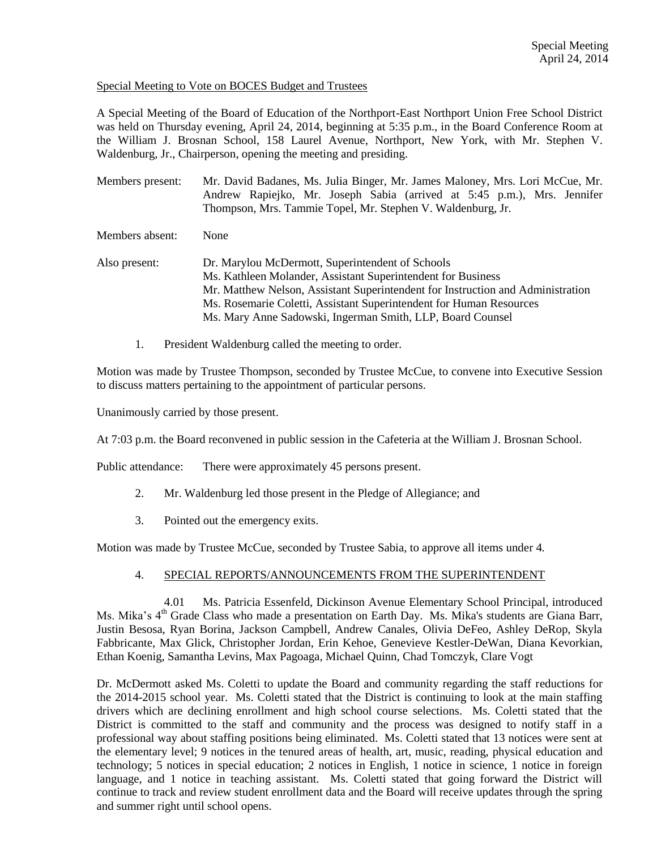## Special Meeting to Vote on BOCES Budget and Trustees

A Special Meeting of the Board of Education of the Northport-East Northport Union Free School District was held on Thursday evening, April 24, 2014, beginning at 5:35 p.m., in the Board Conference Room at the William J. Brosnan School, 158 Laurel Avenue, Northport, New York, with Mr. Stephen V. Waldenburg, Jr., Chairperson, opening the meeting and presiding.

Members present: Mr. David Badanes, Ms. Julia Binger, Mr. James Maloney, Mrs. Lori McCue, Mr. Andrew Rapiejko, Mr. Joseph Sabia (arrived at 5:45 p.m.), Mrs. Jennifer Thompson, Mrs. Tammie Topel, Mr. Stephen V. Waldenburg, Jr.

Members absent: None

- Also present: Dr. Marylou McDermott, Superintendent of Schools Ms. Kathleen Molander, Assistant Superintendent for Business Mr. Matthew Nelson, Assistant Superintendent for Instruction and Administration Ms. Rosemarie Coletti, Assistant Superintendent for Human Resources Ms. Mary Anne Sadowski, Ingerman Smith, LLP, Board Counsel
	- 1. President Waldenburg called the meeting to order.

Motion was made by Trustee Thompson, seconded by Trustee McCue, to convene into Executive Session to discuss matters pertaining to the appointment of particular persons.

Unanimously carried by those present.

At 7:03 p.m. the Board reconvened in public session in the Cafeteria at the William J. Brosnan School.

Public attendance: There were approximately 45 persons present.

- 2. Mr. Waldenburg led those present in the Pledge of Allegiance; and
- 3. Pointed out the emergency exits.

Motion was made by Trustee McCue, seconded by Trustee Sabia, to approve all items under 4.

## 4. SPECIAL REPORTS/ANNOUNCEMENTS FROM THE SUPERINTENDENT

4.01 Ms. Patricia Essenfeld, Dickinson Avenue Elementary School Principal, introduced Ms. Mika's 4<sup>th</sup> Grade Class who made a presentation on Earth Day. Ms. Mika's students are Giana Barr, Justin Besosa, Ryan Borina, Jackson Campbell, Andrew Canales, Olivia DeFeo, Ashley DeRop, Skyla Fabbricante, Max Glick, Christopher Jordan, Erin Kehoe, Genevieve Kestler-DeWan, Diana Kevorkian, Ethan Koenig, Samantha Levins, Max Pagoaga, Michael Quinn, Chad Tomczyk, Clare Vogt

Dr. McDermott asked Ms. Coletti to update the Board and community regarding the staff reductions for the 2014-2015 school year. Ms. Coletti stated that the District is continuing to look at the main staffing drivers which are declining enrollment and high school course selections. Ms. Coletti stated that the District is committed to the staff and community and the process was designed to notify staff in a professional way about staffing positions being eliminated. Ms. Coletti stated that 13 notices were sent at the elementary level; 9 notices in the tenured areas of health, art, music, reading, physical education and technology; 5 notices in special education; 2 notices in English, 1 notice in science, 1 notice in foreign language, and 1 notice in teaching assistant. Ms. Coletti stated that going forward the District will continue to track and review student enrollment data and the Board will receive updates through the spring and summer right until school opens.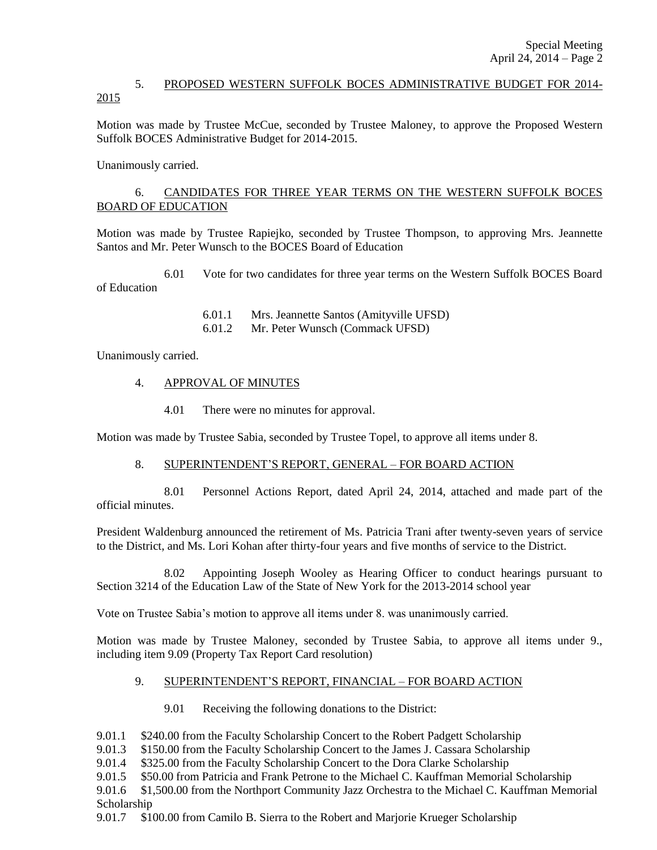## 5. PROPOSED WESTERN SUFFOLK BOCES ADMINISTRATIVE BUDGET FOR 2014- 2015

Motion was made by Trustee McCue, seconded by Trustee Maloney, to approve the Proposed Western Suffolk BOCES Administrative Budget for 2014-2015.

Unanimously carried.

## 6. CANDIDATES FOR THREE YEAR TERMS ON THE WESTERN SUFFOLK BOCES BOARD OF EDUCATION

Motion was made by Trustee Rapiejko, seconded by Trustee Thompson, to approving Mrs. Jeannette Santos and Mr. Peter Wunsch to the BOCES Board of Education

6.01 Vote for two candidates for three year terms on the Western Suffolk BOCES Board of Education

> 6.01.1 Mrs. Jeannette Santos (Amityville UFSD) 6.01.2 Mr. Peter Wunsch (Commack UFSD)

Unanimously carried.

- 4. APPROVAL OF MINUTES
	- 4.01 There were no minutes for approval.

Motion was made by Trustee Sabia, seconded by Trustee Topel, to approve all items under 8.

### 8. SUPERINTENDENT'S REPORT, GENERAL – FOR BOARD ACTION

8.01 Personnel Actions Report, dated April 24, 2014, attached and made part of the official minutes.

President Waldenburg announced the retirement of Ms. Patricia Trani after twenty-seven years of service to the District, and Ms. Lori Kohan after thirty-four years and five months of service to the District.

8.02 Appointing Joseph Wooley as Hearing Officer to conduct hearings pursuant to Section 3214 of the Education Law of the State of New York for the 2013-2014 school year

Vote on Trustee Sabia's motion to approve all items under 8. was unanimously carried.

Motion was made by Trustee Maloney, seconded by Trustee Sabia, to approve all items under 9., including item 9.09 (Property Tax Report Card resolution)

## 9. SUPERINTENDENT'S REPORT, FINANCIAL – FOR BOARD ACTION

- 9.01 Receiving the following donations to the District:
- 9.01.1 \$240.00 from the Faculty Scholarship Concert to the Robert Padgett Scholarship
- 9.01.3 \$150.00 from the Faculty Scholarship Concert to the James J. Cassara Scholarship
- 9.01.4 \$325.00 from the Faculty Scholarship Concert to the Dora Clarke Scholarship
- 9.01.5 \$50.00 from Patricia and Frank Petrone to the Michael C. Kauffman Memorial Scholarship

9.01.6 \$1,500.00 from the Northport Community Jazz Orchestra to the Michael C. Kauffman Memorial Scholarship

9.01.7 \$100.00 from Camilo B. Sierra to the Robert and Marjorie Krueger Scholarship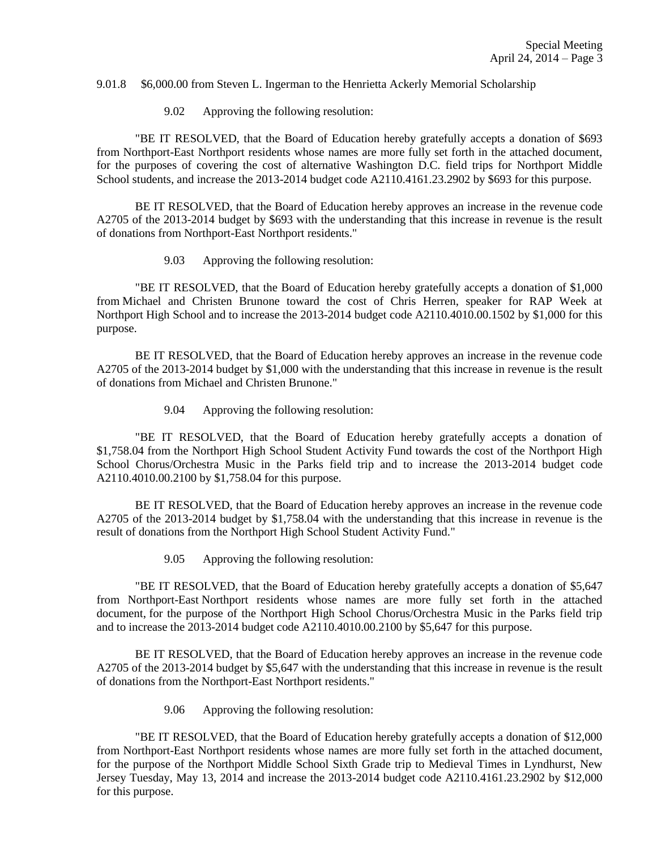#### 9.01.8 \$6,000.00 from Steven L. Ingerman to the Henrietta Ackerly Memorial Scholarship

9.02 Approving the following resolution:

"BE IT RESOLVED, that the Board of Education hereby gratefully accepts a donation of \$693 from Northport-East Northport residents whose names are more fully set forth in the attached document, for the purposes of covering the cost of alternative Washington D.C. field trips for Northport Middle School students, and increase the 2013-2014 budget code A2110.4161.23.2902 by \$693 for this purpose.

BE IT RESOLVED, that the Board of Education hereby approves an increase in the revenue code A2705 of the 2013-2014 budget by \$693 with the understanding that this increase in revenue is the result of donations from Northport-East Northport residents."

9.03 Approving the following resolution:

"BE IT RESOLVED, that the Board of Education hereby gratefully accepts a donation of \$1,000 from Michael and Christen Brunone toward the cost of Chris Herren, speaker for RAP Week at Northport High School and to increase the 2013-2014 budget code A2110.4010.00.1502 by \$1,000 for this purpose.

BE IT RESOLVED, that the Board of Education hereby approves an increase in the revenue code A2705 of the 2013-2014 budget by \$1,000 with the understanding that this increase in revenue is the result of donations from Michael and Christen Brunone."

9.04 Approving the following resolution:

"BE IT RESOLVED, that the Board of Education hereby gratefully accepts a donation of \$1,758.04 from the Northport High School Student Activity Fund towards the cost of the Northport High School Chorus/Orchestra Music in the Parks field trip and to increase the 2013-2014 budget code A2110.4010.00.2100 by \$1,758.04 for this purpose.

BE IT RESOLVED, that the Board of Education hereby approves an increase in the revenue code A2705 of the 2013-2014 budget by \$1,758.04 with the understanding that this increase in revenue is the result of donations from the Northport High School Student Activity Fund."

9.05 Approving the following resolution:

"BE IT RESOLVED, that the Board of Education hereby gratefully accepts a donation of \$5,647 from Northport-East Northport residents whose names are more fully set forth in the attached document, for the purpose of the Northport High School Chorus/Orchestra Music in the Parks field trip and to increase the 2013-2014 budget code A2110.4010.00.2100 by \$5,647 for this purpose.

BE IT RESOLVED, that the Board of Education hereby approves an increase in the revenue code A2705 of the 2013-2014 budget by \$5,647 with the understanding that this increase in revenue is the result of donations from the Northport-East Northport residents."

9.06 Approving the following resolution:

"BE IT RESOLVED, that the Board of Education hereby gratefully accepts a donation of \$12,000 from Northport-East Northport residents whose names are more fully set forth in the attached document, for the purpose of the Northport Middle School Sixth Grade trip to Medieval Times in Lyndhurst, New Jersey Tuesday, May 13, 2014 and increase the 2013-2014 budget code A2110.4161.23.2902 by \$12,000 for this purpose.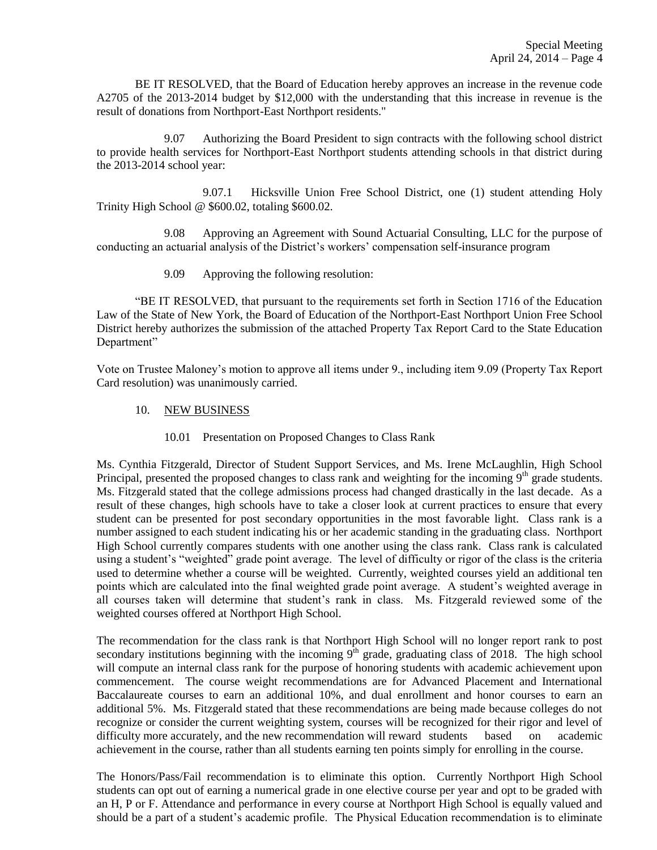BE IT RESOLVED, that the Board of Education hereby approves an increase in the revenue code A2705 of the 2013-2014 budget by \$12,000 with the understanding that this increase in revenue is the result of donations from Northport-East Northport residents."

9.07 Authorizing the Board President to sign contracts with the following school district to provide health services for Northport-East Northport students attending schools in that district during the 2013-2014 school year:

9.07.1 Hicksville Union Free School District, one (1) student attending Holy Trinity High School @ \$600.02, totaling \$600.02.

9.08 Approving an Agreement with Sound Actuarial Consulting, LLC for the purpose of conducting an actuarial analysis of the District's workers' compensation self-insurance program

9.09 Approving the following resolution:

"BE IT RESOLVED, that pursuant to the requirements set forth in Section 1716 of the Education Law of the State of New York, the Board of Education of the Northport-East Northport Union Free School District hereby authorizes the submission of the attached Property Tax Report Card to the State Education Department"

Vote on Trustee Maloney's motion to approve all items under 9., including item 9.09 (Property Tax Report Card resolution) was unanimously carried.

- 10. NEW BUSINESS
	- 10.01 Presentation on Proposed Changes to Class Rank

Ms. Cynthia Fitzgerald, Director of Student Support Services, and Ms. Irene McLaughlin, High School Principal, presented the proposed changes to class rank and weighting for the incoming  $9<sup>th</sup>$  grade students. Ms. Fitzgerald stated that the college admissions process had changed drastically in the last decade. As a result of these changes, high schools have to take a closer look at current practices to ensure that every student can be presented for post secondary opportunities in the most favorable light. Class rank is a number assigned to each student indicating his or her academic standing in the graduating class. Northport High School currently compares students with one another using the class rank. Class rank is calculated using a student's "weighted" grade point average. The level of difficulty or rigor of the class is the criteria used to determine whether a course will be weighted. Currently, weighted courses yield an additional ten points which are calculated into the final weighted grade point average. A student's weighted average in all courses taken will determine that student's rank in class. Ms. Fitzgerald reviewed some of the weighted courses offered at Northport High School.

The recommendation for the class rank is that Northport High School will no longer report rank to post secondary institutions beginning with the incoming  $9<sup>th</sup>$  grade, graduating class of 2018. The high school will compute an internal class rank for the purpose of honoring students with academic achievement upon commencement. The course weight recommendations are for Advanced Placement and International Baccalaureate courses to earn an additional 10%, and dual enrollment and honor courses to earn an additional 5%. Ms. Fitzgerald stated that these recommendations are being made because colleges do not recognize or consider the current weighting system, courses will be recognized for their rigor and level of difficulty more accurately, and the new recommendation will reward students based on academic achievement in the course, rather than all students earning ten points simply for enrolling in the course.

The Honors/Pass/Fail recommendation is to eliminate this option. Currently Northport High School students can opt out of earning a numerical grade in one elective course per year and opt to be graded with an H, P or F. Attendance and performance in every course at Northport High School is equally valued and should be a part of a student's academic profile. The Physical Education recommendation is to eliminate